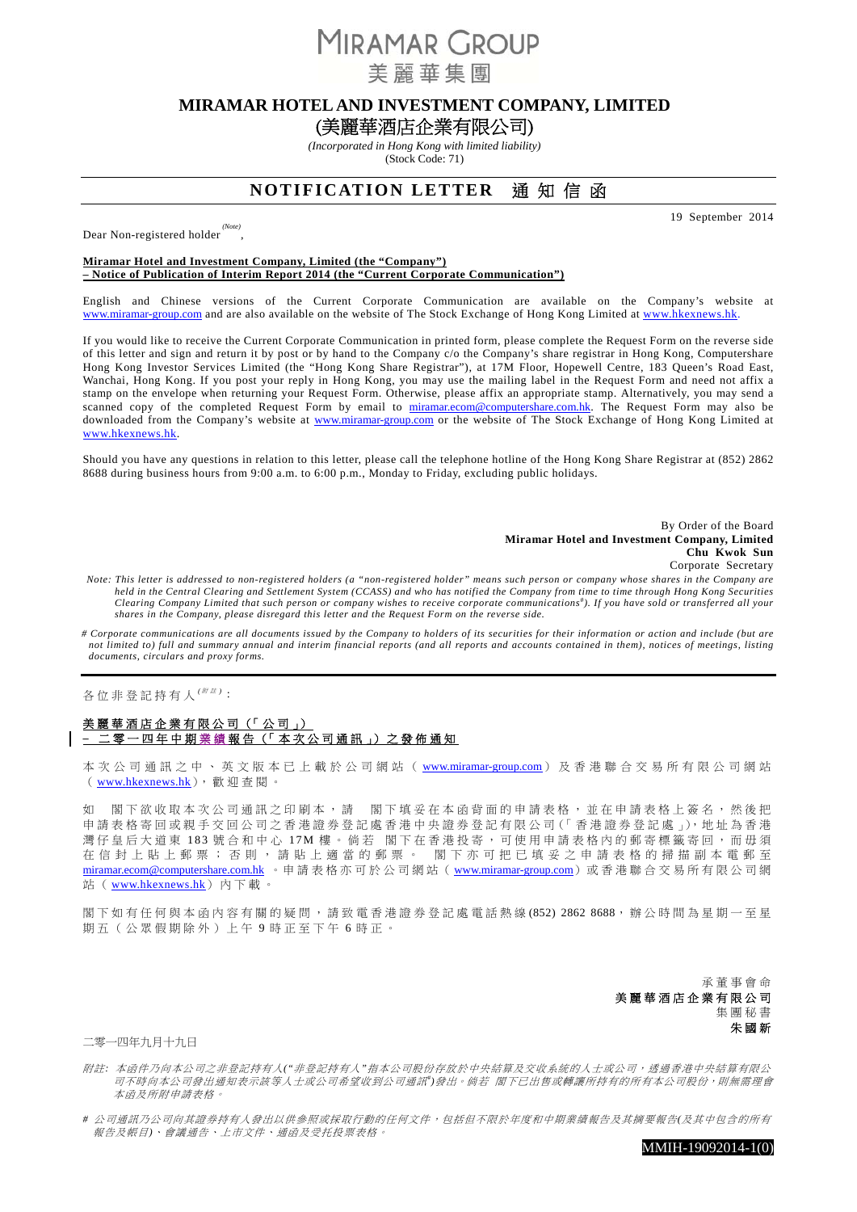**MIRAMAR GROUP** 

美麗華集團

# **MIRAMAR HOTEL AND INVESTMENT COMPANY, LIMITED**

(美麗華酒店企業有限公司)

*(Incorporated in Hong Kong with limited liability)*  (Stock Code: 71)

## **NOTIFICATION LETTER** 通 知 信 函

19 September 2014

Dear Non-registered holder

#### **Miramar Hotel and Investment Company, Limited (the "Company") – Notice of Publication of Interim Report 2014 (the "Current Corporate Communication")**

,

English and Chinese versions of the Current Corporate Communication are available on the Company's website at www.miramar-group.com and are also available on the website of The Stock Exchange of Hong Kong Limited at www.hkexnews.hk.

If you would like to receive the Current Corporate Communication in printed form, please complete the Request Form on the reverse side of this letter and sign and return it by post or by hand to the Company c/o the Company's share registrar in Hong Kong, Computershare Hong Kong Investor Services Limited (the "Hong Kong Share Registrar"), at 17M Floor, Hopewell Centre, 183 Queen's Road East, Wanchai, Hong Kong. If you post your reply in Hong Kong, you may use the mailing label in the Request Form and need not affix a stamp on the envelope when returning your Request Form. Otherwise, please affix an appropriate stamp. Alternatively, you may send a scanned copy of the completed Request Form by email to miramar.ecom@computershare.com.hk. The Request Form may also be downloaded from the Company's website at www.miramar-group.com or the website of The Stock Exchange of Hong Kong Limited at www.hkexnews.hk.

Should you have any questions in relation to this letter, please call the telephone hotline of the Hong Kong Share Registrar at (852) 2862 8688 during business hours from 9:00 a.m. to 6:00 p.m., Monday to Friday, excluding public holidays.

#### By Order of the Board **Miramar Hotel and Investment Company, Limited Chu Kwok Sun** Corporate Secretary

*Note: This letter is addressed to non-registered holders (a "non-registered holder" means such person or company whose shares in the Company are held in the Central Clearing and Settlement System (CCASS) and who has notified the Company from time to time through Hong Kong Securities*  Clearing Company Limited that such person or company wishes to receive corporate communications<sup>#</sup>). If you have sold or transferred all your *shares in the Company, please disregard this letter and the Request Form on the reverse side.* 

*# Corporate communications are all documents issued by the Company to holders of its securities for their information or action and include (but are not limited to) full and summary annual and interim financial reports (and all reports and accounts contained in them), notices of meetings, listing documents, circulars and proxy forms.* 

## 各位非登記持有人 *(* <sup>附</sup> <sup>註</sup> *)* :

### 美麗華酒店企業有限公司(「公司」) **–** 二零一四年中期 業 績 報告(「本次公司通訊」)之發佈通知

本次公司通訊之中、英文版本已上載於公司網站(www.miramar-group.com)及香港聯合交易所有限公司網站 (www.hkexnews.hk),歡迎查閱。

如 閣下欲收取本次公司通訊之印刷本,請 閣下填妥在本函背面的申請表格,並在申請表格上簽名,然後把 申請表格寄回或親手交回公司之香港證券登記處香港中央證券登記有限公司(「香港證券登記處」),地址為香港 灣仔皇后大道東 183 號合和中心 17M 樓。倘若 閣下在香港投寄,可使用申請表格內的郵寄標籤寄回,而毋須 在信封上貼上郵票;否則,請貼上適當的郵票。 閣下亦可把已填妥之申請表格的掃描副本電郵至 miramar.ecom@computershare.com.hk 。申請表格亦可於公司網站(www.miramar-group.com)或香港聯合交易所有限公司網 站 ( www.hkexnews.hk) 內下載。

閣下如有任何與本函內容有關的疑問,請致電香港證券登記處電話熱線 (852) 2862 8688,辦公時間為星期一至星 期五(公眾假期除外)上午 9 時正至下午 6 時正。

> 承董事會命 美麗華酒店企業有限公司 集團秘書 朱國新

二零一四年九月十九日

附註*:* 本函件乃向本公司之非登記持有人*("*非登記持有人*"*指本公司股份存放於中央結算及交收系統的人士或公司,透過香港中央結算有限公 司不時向本公司發出通知表示該等人士或公司希望收到公司通訊")發出。 倘若 閣下已出售或轉讓所持有的所有本公司股份,則無需理會 本函及所附申請表格。

*#* 公司通訊乃公司向其證券持有人發出以供參照或採取行動的任何文件,包括但不限於年度和中期業績報告及其摘要報告*(*及其中包含的所有 報告及帳目*)*、會議通告、上市文件、通函及受托投票表格。

MMIH-19092014-1(0)